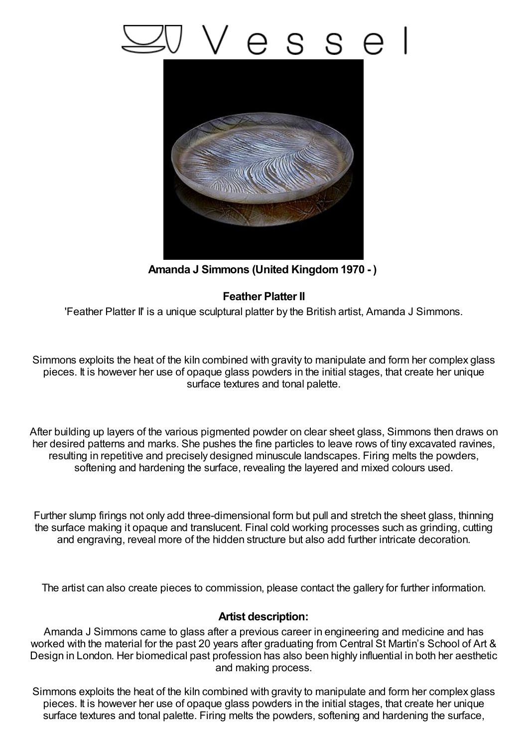## esse



**Amanda J Simmons (United Kingdom1970 - )**

## **Feather Platter II**

'Feather Platter II' is a unique sculptural platter by the British artist, Amanda J Simmons.

Simmons exploits the heat of the kiln combined with gravity to manipulate and form her complex glass pieces. It is however her use of opaque glass powders in the initial stages, that create her unique surface textures and tonal palette.

After building up layers of the various pigmented powder on clear sheet glass, Simmons then draws on her desired patterns and marks. She pushes the fine particles to leave rows of tiny excavated ravines, resulting in repetitive and precisely designed minuscule landscapes. Firing melts the powders, softening and hardening the surface, revealing the layered and mixed colours used.

Further slump firings not only add three-dimensional form but pull and stretch the sheet glass, thinning the surface making it opaque and translucent. Final cold working processes such as grinding, cutting and engraving, reveal more of the hidden structure but also add further intricate decoration.

The artist can also create pieces to commission, please contact the gallery for further information.

## **Artist description:**

Amanda J Simmons came to glass after a previous career in engineering and medicine and has worked with the material for the past 20 years after graduating from Central St Martin's School of Art & Design in London. Her biomedical past profession has also been highly influential in both her aesthetic and making process.

Simmons exploits the heat of the kiln combined with gravity to manipulate and form her complex glass pieces. It is however her use of opaque glass powders in the initial stages, that create her unique surface textures and tonal palette. Firing melts the powders, softening and hardening the surface,